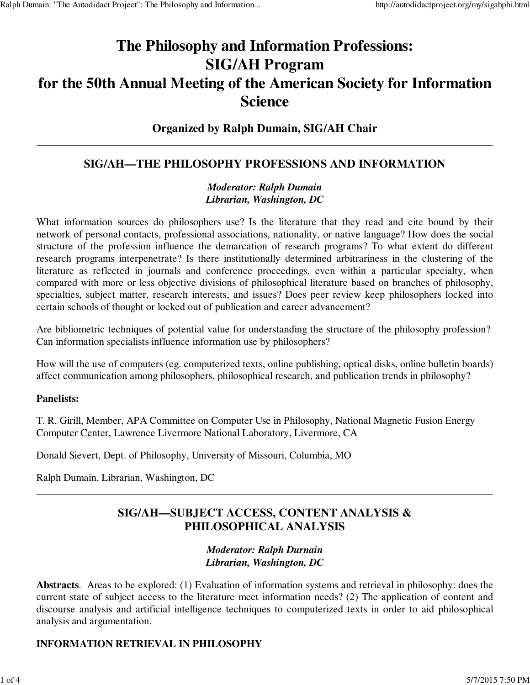# **The Philosophy and Information Professions: SIG/AH Program for the 50th Annual Meeting of the American Society for Information Science**

## **Organized by Ralph Dumain, SIG/AH Chair**

# **SIG/AH—THE PHILOSOPHY PROFESSIONS AND INFORMATION**

### *Moderator: Ralph Dumain Librarian, Washington, DC*

What information sources do philosophers use? Is the literature that they read and cite bound by their network of personal contacts, professional associations, nationality, or native language? How does the social structure of the profession influence the demarcation of research programs? To what extent do different research programs interpenetrate? Is there institutionally determined arbitrariness in the clustering of the literature as reflected in journals and conference proceedings, even within a particular specialty, when compared with more or less objective divisions of philosophical literature based on branches of philosophy, specialties, subject matter, research interests, and issues? Does peer review keep philosophers locked into certain schools of thought or locked out of publication and career advancement?

Are bibliometric techniques of potential value for understanding the structure of the philosophy profession? Can information specialists influence information use by philosophers?

How will the use of computers (eg. computerized texts, online publishing, optical disks, online bulletin boards) affect communication among philosophers, philosophical research, and publication trends in philosophy?

#### **Panelists:**

T. R. Girill, Member, APA Committee on Computer Use in Philosophy, National Magnetic Fusion Energy Computer Center, Lawrence Livermore National Laboratory, Livermore, CA

Donald Sievert, Dept. of Philosophy, University of Missouri, Columbia, MO

Ralph Dumain, Librarian, Washington, DC

# **SIG/AH—SUBJECT ACCESS, CONTENT ANALYSIS & PHILOSOPHICAL ANALYSIS**

#### *Moderator: Ralph Durnain Librarian, Washington, DC*

**Abstracts**. Areas to be explored: (1) Evaluation of information systems and retrieval in philosophy: does the current state of subject access to the literature meet information needs? (2) The application of content and discourse analysis and artificial intelligence techniques to computerized texts in order to aid philosophical analysis and argumentation.

## **INFORMATION RETRIEVAL IN PHILOSOPHY**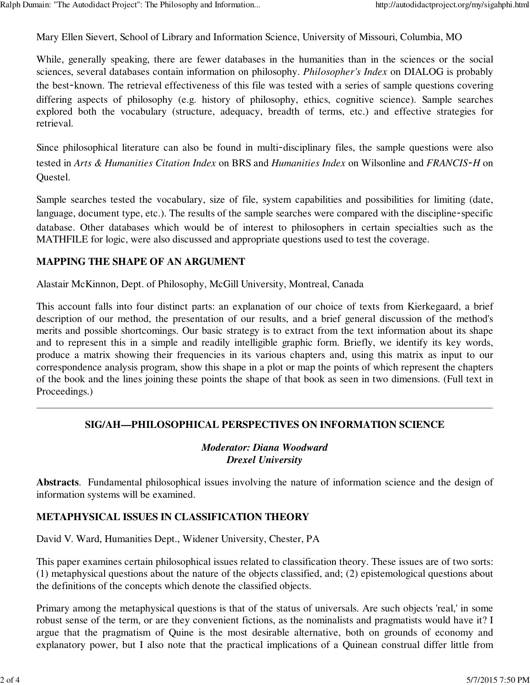Mary Ellen Sievert, School of Library and Information Science, University of Missouri, Columbia, MO

While, generally speaking, there are fewer databases in the humanities than in the sciences or the social sciences, several databases contain information on philosophy. *Philosopher's Index* on DIALOG is probably the best-known. The retrieval effectiveness of this file was tested with a series of sample questions covering differing aspects of philosophy (e.g. history of philosophy, ethics, cognitive science). Sample searches explored both the vocabulary (structure, adequacy, breadth of terms, etc.) and effective strategies for retrieval.

Since philosophical literature can also be found in multi-disciplinary files, the sample questions were also tested in *Arts & Humanities Citation Index* on BRS and *Humanities Index* on Wilsonline and *FRANCIS*-*H* on Questel.

Sample searches tested the vocabulary, size of file, system capabilities and possibilities for limiting (date, language, document type, etc.). The results of the sample searches were compared with the discipline-specific database. Other databases which would be of interest to philosophers in certain specialties such as the MATHFILE for logic, were also discussed and appropriate questions used to test the coverage.

#### **MAPPING THE SHAPE OF AN ARGUMENT**

Alastair McKinnon, Dept. of Philosophy, McGill University, Montreal, Canada

This account falls into four distinct parts: an explanation of our choice of texts from Kierkegaard, a brief description of our method, the presentation of our results, and a brief general discussion of the method's merits and possible shortcomings. Our basic strategy is to extract from the text information about its shape and to represent this in a simple and readily intelligible graphic form. Briefly, we identify its key words, produce a matrix showing their frequencies in its various chapters and, using this matrix as input to our correspondence analysis program, show this shape in a plot or map the points of which represent the chapters of the book and the lines joining these points the shape of that book as seen in two dimensions. (Full text in Proceedings.)

#### **SIG/AH—PHILOSOPHICAL PERSPECTIVES ON INFORMATION SCIENCE**

#### *Moderator: Diana Woodward Drexel University*

**Abstracts**. Fundamental philosophical issues involving the nature of information science and the design of information systems will be examined.

#### **METAPHYSICAL ISSUES IN CLASSIFICATION THEORY**

David V. Ward, Humanities Dept., Widener University, Chester, PA

This paper examines certain philosophical issues related to classification theory. These issues are of two sorts: (1) metaphysical questions about the nature of the objects classified, and; (2) epistemological questions about the definitions of the concepts which denote the classified objects.

Primary among the metaphysical questions is that of the status of universals. Are such objects 'real,' in some robust sense of the term, or are they convenient fictions, as the nominalists and pragmatists would have it? I argue that the pragmatism of Quine is the most desirable alternative, both on grounds of economy and explanatory power, but I also note that the practical implications of a Quinean construal differ little from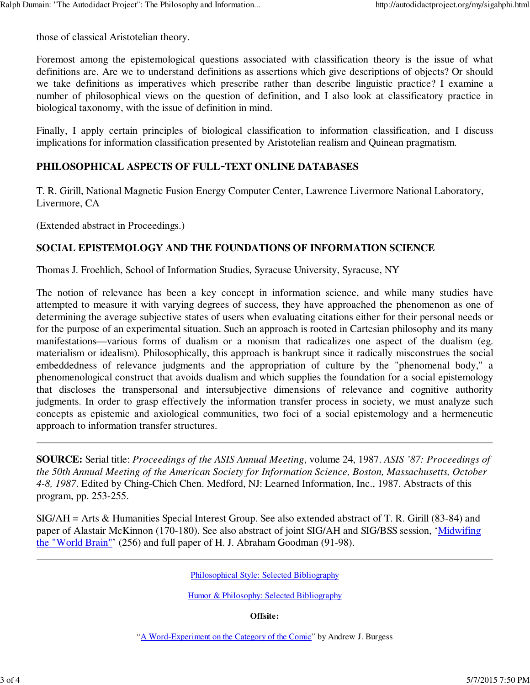those of classical Aristotelian theory.

Foremost among the epistemological questions associated with classification theory is the issue of what definitions are. Are we to understand definitions as assertions which give descriptions of objects? Or should we take definitions as imperatives which prescribe rather than describe linguistic practice? I examine a number of philosophical views on the question of definition, and I also look at classificatory practice in biological taxonomy, with the issue of definition in mind.

Finally, I apply certain principles of biological classification to information classification, and I discuss implications for information classification presented by Aristotelian realism and Quinean pragmatism.

## **PHILOSOPHICAL ASPECTS OF FULL**-**TEXT ONLINE DATABASES**

T. R. Girill, National Magnetic Fusion Energy Computer Center, Lawrence Livermore National Laboratory, Livermore, CA

(Extended abstract in Proceedings.)

#### **SOCIAL EPISTEMOLOGY AND THE FOUNDATIONS OF INFORMATION SCIENCE**

Thomas J. Froehlich, School of Information Studies, Syracuse University, Syracuse, NY

The notion of relevance has been a key concept in information science, and while many studies have attempted to measure it with varying degrees of success, they have approached the phenomenon as one of determining the average subjective states of users when evaluating citations either for their personal needs or for the purpose of an experimental situation. Such an approach is rooted in Cartesian philosophy and its many manifestations—various forms of dualism or a monism that radicalizes one aspect of the dualism (eg. materialism or idealism). Philosophically, this approach is bankrupt since it radically misconstrues the social embeddedness of relevance judgments and the appropriation of culture by the "phenomenal body," a phenomenological construct that avoids dualism and which supplies the foundation for a social epistemology that discloses the transpersonal and intersubjective dimensions of relevance and cognitive authority judgments. In order to grasp effectively the information transfer process in society, we must analyze such concepts as epistemic and axiological communities, two foci of a social epistemology and a hermeneutic approach to information transfer structures.

**SOURCE:** Serial title: *Proceedings of the ASIS Annual Meeting*, volume 24, 1987. *ASIS '87: Proceedings of the 50th Annual Meeting of the American Society for Information Science, Boston, Massachusetts, October 4-8, 1987*. Edited by Ching-Chich Chen. Medford, NJ: Learned Information, Inc., 1987. Abstracts of this program, pp. 253-255.

SIG/AH = Arts & Humanities Special Interest Group. See also extended abstract of T. R. Girill (83-84) and paper of Alastair McKinnon (170-180). See also abstract of joint SIG/AH and SIG/BSS session, 'Midwifing the "World Brain"' (256) and full paper of H. J. Abraham Goodman (91-98).

Philosophical Style: Selected Bibliography

Humor & Philosophy: Selected Bibliography

**Offsite:**

"A Word-Experiment on the Category of the Comic" by Andrew J. Burgess